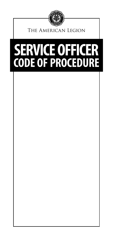

The American Legion

# **SERVICE OFFICER CODE OF PROCEDURE**

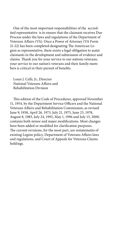One of the most important responsibilities of the accredited representative is to ensure that the claimant receives Due Process under the laws and regulations of the Department of Veterans Affairs (VA). Once a Power of Attorney (VA Form 21-22) has been completed designating The American Legion as representative, there exists a legal obligation to assist claimants in the development and submission of evidence and claims. Thank you for your service to our nations veterans; your service to our nation's veterans and their family members is critical in their pursuit of benefits.

Louis J. Celli, Jr., Director National Veterans Affairs and Rehabilitation Division

This edition of the Code of Procedures, approved November 11, 1954, by the Department Service Officers and the National Veterans Affairs and Rehabilitation Commission, as revised June 9, 1958, April 26, 1973, July 21, 1975, June 23, 1978, August 8, 1983, July 24, 1992, May 1, 1996 and July 15, 2000, contains both minor and major modifications. Most changes have been added or modified for clarification purposes. The current revisions, for the most part, are restatements of existing Legion policy, Department of Veterans Affairs laws and regulations, and Court of Appeals for Veterans Claims holdings.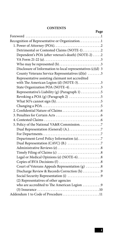#### **CONTENTS**

| Page                                                                                              |  |
|---------------------------------------------------------------------------------------------------|--|
|                                                                                                   |  |
| Recognition of Representative or Organization1                                                    |  |
|                                                                                                   |  |
| Detrimental or Contested Claims (NOTE-1)2                                                         |  |
| Dependent's POA (after veteran's death) (NOTE-2) 2                                                |  |
| VA Form 21-22 (a) $\dots \dots \dots \dots \dots \dots \dots \dots \dots \dots \dots \dots \dots$ |  |
| Who may be represented $(b)$ 3                                                                    |  |
| Disclosure of Information to local representatives (c)(d) 3                                       |  |
| County Veterans Service Representatives (d)(e) 3                                                  |  |
| Representative assisting claimant not accredited                                                  |  |
| with The American Legion (d) (NOTE-3). 3                                                          |  |
| State Organization POA (NOTE-4)3                                                                  |  |
| Representative's Liability (g) (Paragraph 1) 5                                                    |  |
| Revoking a POA (g) (Paragraph 2) 5                                                                |  |
|                                                                                                   |  |
|                                                                                                   |  |
|                                                                                                   |  |
|                                                                                                   |  |
|                                                                                                   |  |
| 5. Policy of the National VA&R Commission. 7                                                      |  |
|                                                                                                   |  |
|                                                                                                   |  |
| Department-Level Policy Information (a)7                                                          |  |
|                                                                                                   |  |
|                                                                                                   |  |
|                                                                                                   |  |
| Legal or Medical Opinions (e) (NOTE-6)8                                                           |  |
|                                                                                                   |  |
| Court of Veterans Appeals Representation (g) 8                                                    |  |
| Discharge Review & Records Correction (h) 9                                                       |  |
| Social Security Representation (i) 9                                                              |  |
| (2) Representatives of other agencies                                                             |  |
| who are accredited to The American Legion  9                                                      |  |
|                                                                                                   |  |
| Addendum 1 to Code of Procedure11                                                                 |  |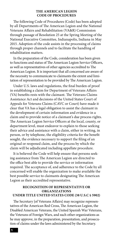#### **THE AMERICAN LEGION CODE OF PROCEDURES**

The following Code of Procedures (Code) has been adopted by all Departments of The American Legion and the National Veterans Affairs and Rehabilitation (VA&R) Commission through passage of Resolution 25 at the Spring Meeting of the National Executive Committee, Indianapolis, Indiana in May 2015. Adoption of the code assists in the processing of claims through proper channels and to facilitate the handling of rehabilitation matters.

In the preparation of the Code, consideration has been given to functions and status of The American Legion Service Officers, as well as representatives of other agencies accredited to The American Legion. It is important that all concerned are aware of the necessity to communicate to claimants the extent and limitation of representation to be provided by The American Legion.

Under U.S. laws and regulations, the final burden of proof in establishing a claim for Department of Veterans Affairs (VA) benefits rests with the claimant. The Veterans Claims Assistance Act and decisions of the United States Court of Appeals for Veterans Claims (CAVC or Court) have made it clear that VA has a legal obligation to assist the claimant in the development of certain information and evidence in a claim and to provide notice of a claimant's due process rights. The American Legion Service Officers at the local, county, or department level, must endeavor to explain to those seeking their advice and assistance with a claim, either in writing, in person, or by telephone, the eligibility criteria for the benefit sought, the evidence necessary to support the filing of an original or reopened claim, and the process by which the claim will be adjudicated including appellate procedure.

It is believed the Code will help ensure that persons seeking assistance from The American Legion are directed to the office best able to provide the service or information required. The acceptance of, and adherence to the Code by all concerned will enable the organization to make available the best possible service to claimants designating The American Legion as their accredited representative.

#### **RECOGNITION OF REPRESENTATIVE OR ORGANIZATIONS UNDER TITLE UNITED STATES CODE (38 U.S.C § 5902)**

The Secretary [of Veterans Affairs] may recognize representatives of the American Red Cross, The American Legion, the Disabled American Veterans, the United Spanish War Veterans, the Veterans of Foreign Wars, and such other organizations as he may approve, in the preparation, presentation, and prosecution of claims under the laws administered by the Secretary.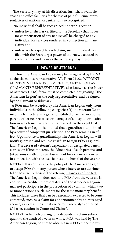The Secretary may, at his discretion, furnish, if available, space and office facilities for the use of paid full-time representatives of national organizations so recognized.

No individual shall be recognized under this section—

- unless he or she has certified to the Secretary that no fee for compensation of any nature will be charged to any individual for services rendered in connection with any claim; and
- unless, with respect to each claim, such individual has filed with the Secretary a power of attorney, executed in such manner and form as the Secretary may prescribe.

## **1. POWER OF ATTORNEY**

Before The American Legion may be recognized by the VA as the claimant's representative, VA Form 21-22, "APPOINT-MENT OF VETERANS SERVICE ORGANIZATION AS CLAIMANTS REPRESENTATIVE", also known as the Power of Attorney (POA) form, must be completed designating "The American Legion" as the **only representative**, and be signed by the claimant or fiduciary.

 A POA may be accepted by The American Legion only from individuals in the following categories: (1) the veteran; (2) an incompetent veteran's legally constituted guardian or spouse, parent, other near relative, or manager of a hospital or institution in which such veteran is maintained. In the event that The American Legion is notified that a guardian is appointed by a court of competent jurisdiction, the POA remains in effect. Upon notice of guardianship; The American Legion will notify guardian and request guardian to sign POA as guardian, (3) a deceased veteran's dependents or designated beneficiaries, or, if incompetent, the fiduciaries of such persons; and (4) persons entitled to reimbursement for expenses incurred in connection with the last sickness and burial of the veteran.

**NOTE-1:** It is contrary to the policy of The American Legion to accept POA from any person whose interests are detrimental or adverse to those of the veteran, regardless of the fact The American Legion does not hold POA from the veteran. In addition, accredited representatives of The American Legion may not participate in the prosecution of a claim in which two or more persons are claimants for the same monetary benefit. This includes cases that can be reasonably expected to become contested, such as, a claim for apportionment by an estranged spouse, as well as those that are "simultaneously" contested. (Also see section in Contested Claims).

**NOTE-2:** When advocating for a dependent's claim subsequent to the death of a veteran whose POA was held by The American Legion, be sure to obtain a new POA since the vet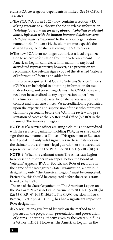eran's POA coverage for dependents is limited. See 38 C.F.R. § 14.631(e).

- a)The POA (VA Form 21-22), now contains a section, #13, asking veterans to authorize the VA to release information *"relating to treatment for drug abuse, alcoholism or alcohol abuse, infection with the human immunodeficiency virus (HIV) or sickle cell anemia"* to the service organization named in #3. In item #14, the claimant must specify the disability(ies) he or she is allowing the VA to release.
- b)The new POA form no longer authorizes a local organization to receive information from the Veteran's record. The American Legion can release information to any **local accredited representative**; however, as a precaution we recommend the veteran sign a copy of the attached "Release of Information" form as an addendum.
- c) It is to be recognized that County Veterans Service Officers (CVSO) can be helpful in obtaining information for use in developing and presenting claims. The CVSO, however, need not be accredited to any organization to perform this function. In most cases, he or she serves as a point of contact and local case officer. VA accreditation is predicated upon the expertise and supervision of those who represent claimants personally before the VA in the review and presentation of cases at the VA Regional Office (VARO) in the name of The American Legion.

**NOTE-3:** If a service officer assisting a claim is not accredited with the service organization holding POA, he or she cannot sign their own name to a Notice of Disagreement or Substantive Appeal. The only valid signatures in these instances are the claimant, the claimant's legal guardian, or the accredited representative holding the POA. See 38 U.S.C.§ 7105 (B) (2).

**NOTE-4:** When the claimant wants The American Legion to represent him or her in an appeal before the Board of Veterans' Appeals (BVA or Board), and POA of record is in the name of the Recognized State Organization, a new POA designating only "The American Legion" must be completed. Preferably, this should be completed before the case is transferred to the BVA.

 The use of the State Organization/The American Legion on the VA Form 21-22 is not valid pursuant to 38 U.S.C. § 7105(b) (2); 38 C.F.R. §§ 14.631, 20.601. The CAVC decision in Leo v. Brown, 8 Vet.App. 410 (1995), has had a significant impact on POA designation.

d)VA regulations give broad latitude on the method to be pursued in the preparation, presentation, and prosecution of claims under the authority given by the veteran in filing a VA Form 21-22. However, The American Legion, as the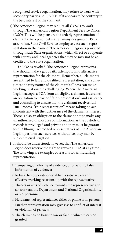recognized service organization, may refuse to work with secondary parties i.e., CVSOs, if it appears to be contrary to the best interest of the claimant.

e) The American Legion may require all CVSOs to work through The American Legion Department Service Officer (DSO). This will help ensure the orderly representation of claimants. As a practical matter, many designated DSOs are, in fact, State Civil Service employees. As such, representation in the name of The American Legion is provided through such State organizations, which direct or cooperate with county and local agencies that may or may not be accredited to the State organization.

If a POA is revoked, The American Legion representative should make a good faith attempt to find alternative representation for the claimant. Remember, all claimants are entitled to fair and qualified representation, and sometimes the very nature of the claimant's illness can make working relationships challenging. When The American Legion accepts a POA from an eligible claimant, it assumes an obligation to provide "fair representation" and assistance and counseling to ensure that the claimant receives full Due Process. "Fair representation" means taking no act inconsistent with the furtherance of the claimant's interest. There is also an obligation to the claimant not to make any unauthorized disclosures of information, as the custody of records is privileged and private and they must be guaranteed. Although accredited representatives of The American Legion perform such services without fee, they may be subject to civil litigation.

- f) It should be understood, however, that The American Legion does reserve the right to revoke a POA at any time. The following are examples of reasons for withdrawing representation:
	- 1. Tampering or altering of evidence, or providing false information of evidence;
	- 2. Refusal to cooperate or establish a satisfactory and effective working relationship with the representative;
	- 3. Threats or acts of violence towards the representative and co-workers, the Department and National Organizations, or VA personnel;
	- 4. Harassment of representatives either by phone or in person:
	- 5. Further representation may give rise to conflict of interest or violation of privacy;
	- 6. The claim has no basis in law or fact in which it can be granted;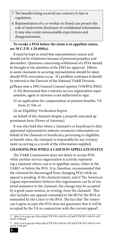- 7. The benefits being received are contrary to law or regulation;
- 8. Representation of a co-worker or friend can present the risk of inadvertent disclosure of confidential information. It may also create unreasonable expectations and disappointments.

#### **To revoke a POA before the claim is in appellate status, see 38 C.F.R. § 20.608(a).**

It must be kept in mind that representation cannot and should not be withdrawn because of personal prejudice and discomfort. Questions concerning withdrawal of a POA should be brought to the attention of the DSO for approval. Efforts to assist claimants in securing representation should be taken should POA revocation occur. If a problem continues it should be referred to the Director of the National VA&R Division.

- g)Please note a 1992 General Counsel opinion (VAOPGCPREC 11-92) determined that a veterans service organization representative, agent or attorney is not authorized to sign:
	- (1) an application for compensation or pension benefits, VA form 21-526, or
	- (2) an Eligibility Verification Report

on behalf of the claimant despite a properly executed appointment form (Power of Attorney).

It was also held that where a claimant's or beneficiary's duly appointed representative submits erroneous information on behalf of the claimant or beneficiary pertaining to eligibility or benefit rates, the claimant is responsible for any overpayment occurring as a result of the information supplied.

## **CHANGING POA WHILE A CASE IS IN APPELLATE STATUS**

The VA&R Commission does not desire to accept POA while another service organization is actively representing a claimant whose case is in appellate status, either at the VARO or before the BVA. It is, therefore, recommended that the claimant be discouraged from changing POA while an appeal is pending. If the claimant insists, and if The American Legion representative believes this organization can be of material assistance to the claimant, the change may be accepted by a good cause motion, in writing, from the claimant<sup>1</sup>. This also includes any appeals remanded to the RO by the BVA or remanded by the Court to the BVA. The fact that The American Legion accepts the POA does not guarantee that it will be accepted by the VA in conjunction with the current appeal<sup>2</sup>.

<sup>1^</sup> http://www.gpo.gov/fdsys/pkg/CFR-2011-title38-vol2/pdf/CFR-2011-title38-vol2- sec20-1304.pdf

<sup>2^</sup> http://www.gpo.gov/fdsys/pkg/CFR-2011-title38-vol2/pdf/CFR-2011-title38-vol2- sec20-1304.pdf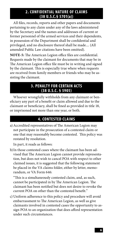## **2. CONFIDENTIAL NATURE OF CLAIMS (38 U.S.C.§ 5701(a))**

All files, records, reports and other papers and documents pertaining to any claim under any of the laws administered by the Secretary and the names and addresses of current or former personnel of the armed services and their dependents, in possession of the Department shall be confidential and privileged, and no disclosure thereof shall be made.... (All amended Public Law citations have been omitted).

**NOTE-5:** The American Legion office files are confidential. Requests made by the claimant for documents that may be in The American Legion office file must be in writing and signed by the claimant. This is especially true where when requests are received from family members or friends who may be assisting the claimant.

## **3. PENALTY FOR CERTAIN ACTS (38 U.S.C. § 5905)**

Whoever wrongfully withholds from any claimant or beneficiary any part of a benefit or claim allowed and due to the claimant or beneficiary, shall be fined as provided in title 18, or imprisoned not more than one year, or both.

# **4. CONTESTED CLAIMS**

a)Accredited representatives of The American Legion may not participate in the prosecution of a contested claim or one that may reasonably become contested. This policy was restated by resolution.

In part, it reads as follows:

b)In those contested cases where the claimant has been advised that The American Legion cannot provide representation, but does not wish to cancel POA with respect to other claimed issues, it is suggested that the following statement be placed in the VA claims folder, either by letter, memorandum, or VA Form 646:

"This is a simultaneously contested claim, and, as such, cannot be participated in by The American Legion. The claimant has been notified but does not desire to revoke the current POA on other than the contested benefit."

c) Uniform adherence to this policy and procedure will avoid embarrassment to The American Legion, as well as give claimants involved in contested cases the opportunity to assign POA to an organization that does afford representation under such circumstances.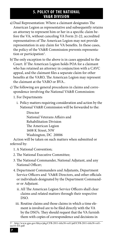# **5. POLICY OF THE NATIONAL VA&R DIVISION**

- a) Dual Representation: Where a claimant designates The American Legion as representative and subsequently retains an attorney to represent him or her in a specific claim before the VA, without canceling VA Form 21-22, accredited representatives of The American Legion may not provide representation in any claim for VA benefits. In these cases, the policy of the VA&R Commission prevents representation or participation<sup>3</sup>.
- b)The only exception to the above is in cases appealed to the Court. If The American Legion holds POA for a claimant who has retained an attorney in conjunction with a CAVC appeal, and the claimant files a separate claim for other benefits at the VARO, The American Legion may represent the claimant at the VARO or BVA..
- c)The following are general procedures in claims and correspondence involving the National VA&R Commission:
	- 1. For Departments
		- i. Policy matters requiring consideration and action by the National VA&R Commission will be forwarded to the:

Director National Veterans Affairs and Rehabilitation Division The American Legion 1608 K Street, NW Washington, DC 20006

Action will be taken on such matters when submitted or referred by:

- 1. A National Convention;
- 2.The National Executive Committee;
- 3. The National Commander, National Adjutant, and any National Officer;
- 4. Department Commanders and Adjutants, Department Service Officers and VA&R Directors, and other officials or individuals designated by the Department Commander or Adjutant.
	- ii. All The American Legion Service Officers shall clear claims and related matters through their respective DSO.
	- iii. Routine claims and those claims in which a time element is involved are to be filed directly with the VA by the DSO's. They should request that the VA furnish them with copies of correspondence and decisions in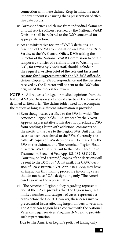connection with these claims. Keep in mind the most important point is ensuring that a preservation of effective date occurs.

- iv.Correspondence and claims from individual claimants or local service officers received by the National VA&R Division shall be referred to the DSO concerned for appropriate action.
- v. An administrative review of VARO decisions is a function of the VA Compensation and Pension (C&P) Service at the VA Central Office. DSOs asking the Director of the National VA&R Commission to obtain temporary transfer of a claims folder to Washington, D.C., for review by VA&R staff, should include in the request **a written brief of the relevant facts and reasons for disagreement with the VA field office decision**. Copies of VA correspondence and the decision received by the Director will be sent to the DSO who originated the request for review.

**NOTE-6:** All requests for legal or medical opinions from the National VA&R Division staff should also be in the form of a detailed written brief. The claims folder need not accompany the request as long as sufficient information is provided.

- vi.Even though cases certified to the BVA in which The American Legion holds POA are seen by the VA&R Appeals Representatives, this does not preclude a DSO from sending a letter with additional comments on the merits of the case to the Legion BVA Unit after the case has been transferred to the BVA. Currently, the "official" copies of BVA decisions will be mailed by the BVA to the claimant and The American Legion Headquarters/BVA Unit pursuant to the CAVC holding in Trammell v. Brown, 6 Vet. App. 181, 182-83 (1994). Courtesy, or "red arrowed," copies of the decisions will be sent to the DSOs by VA flat mail. The CAVC decision of Leo v. Brown, 8 Vet. App. 410 (1995), may have an impact on this mailing procedure involving cases that do not have POAs designating only "The American Legion" as the representative.
- vii. The American Legion policy regarding representation at the CAVC provides that The Legion may, in a limited number and category of cases, represent veterans before the Court. However, these cases involve precedential issues affecting large numbers of veterans. The American Legion has a contract with the National Veterans Legal Services Program (NVLSP) to provide such representation.

Due to The American Legion's policy of taking only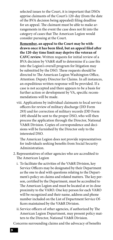selected issues to the Court, it is important that DSOs apprise claimants of the Court's 120-day (from the date of the BVA decision being appealed) filing deadline for an appeal. The claimant must be able to make arrangements in the event the case does not fit into the category of cases that The American Legion would consider pursuing at the Court.

**Remember, an appeal to the Court may be withdrawn once it has been filed, but an appeal filed after the 120-day time limit may deprive the veteran of CAVC review.** Written requests for initial review of a BVA decision by VA&R staff to determine if a case fits into the Legion's overall program for litigation may be submitted by the DSO. These requests should be directed to The American Legion Washington Office, Attention: Deputy Director for Claims. In all instances, an expeditious written response will be provided. If a case is not accepted and there appears to be a basis for further action or development by VA, specific recommendations will be made.

viii. Applications by individual claimants to local service officers for review of military discharge (DD Form 293) and for correction of military records (DD Form 149) should be sent to the proper DSO, who will then process the application through the Director, National VA&R Division. Copies of correspondence and decisions will be furnished by the Director only to the interested DSO.

The American Legion does not provide representatives for individuals seeking benefits from Social Security Administration.

- 2. Representatives of other agencies who are accredited to The American Legion
	- i. To facilitate the activities of the VA&R Division, key Service Officers may be designated by their Department as the one to deal with questions relating to the Department's policy on claims and related matters. The key person, certified by the Department, must be accredited to The American Legion and must be located at or in close proximity to the VARO. One key person for each VARO will be recognized and their name, address and phone number included on the List of Department Service Officers maintained by the VA&R Division.
	- ii.Service officers of other agencies, if authorized by The American Legion Department, may present policy matters to the Director, National VA&R Division.

Concerns surrounding claims and the advocacy of benefits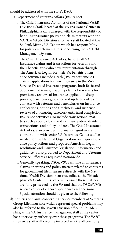should be addressed with the state's DSO.

- 3. Department of Veterans Affairs (Insurance)
	- i. The Chief Insurance Activities of the National VA&R Division's Staff, located at the VA Insurance Center in Philadelphia, Pa.., is charged with the responsibility of handling insurance policy and claim matters with the VA. The VA&R Division also has a staff located at the St. Paul, Minn., VA Center, which has responsibility for policy and claim matters concerning the VA Debt Management System.

The Chief, Insurance Activities, handles all VA Insurance claims and transactions for veterans and their beneficiaries who have representation through The American Legion for their VA benefits. Insurance activities include Death ( Policy Settlement ) claims, applications for new insurance in the VA's Service-Disabled Insurance programs, both Basic and Supplemental issues, disability claims for waivers for premiums, reviews of Insurance application disapprovals, beneficiary guidance and updates, outreach contacts with veterans and beneficiaries on insurance applications, options and timeliness, and suspense reviews of all ongoing casework until final completion. Insurance activities also include transactional matters such as policy loans and cash surrenders, dividend transactions, and policy updates. The Chief, Insurance Activities, also provides information, guidance and coordination with senior VA Insurance Center staff as needed for the National Organization on major insurance policy actions and proposed American Legion resolutions and insurance legislation. Information and guidance is also provided to Department and Veterans Service Officers as requested nationwide.

- ii.Generally speaking, DSOs/VSOs will file all insurance claims, inquiries and policy matters related to contracts for government life insurance directly with the National VA&R Division insurance office at the Philadelphia VA Center. This office will ensure these matters are fully processed by the VA and that the DSOs/VSOs receive copies of all correspondence and decisions. Special attention should be given to the following:
- d)Inquiries or claims concerning service members of Veterans Group Life Insurance which represent special problems may also be referred to the VA&R Division office in Philadelphia, as the VA Insurance management staff at the center has supervisory authority over these programs. The VA&R insurance staff will keep the involved service officers fully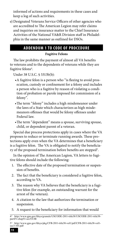informed of actions and requirements in these cases and keep a log of such activities.

e) Designated Veterans Service Officers of other agencies who are accredited to The American Legion may refer claims and inquiries on insurance matter to the Chief Insurance Activities of the National VA&R Division staff in Philadelphia in the same manner as outlined for DSOs.

# **ADDENDUM 1 TO CODE OF PROCEDURE**

#### **Fugitive Felons**

The law prohibits the payment of almost all VA benefits to veterans and to the dependents of veterans while they are fugitive felons<sup>4</sup>.

Under 38 U.S.C. § 5313b(b):

- •A fugitive felon is a person who "is fleeing to avoid prosecution, custody or confinement for a felony and includes a person who is a fugitive by reason of violating a condition of probation or parole imposed for commission of a felony".
- •The term "felony" includes a high misdemeanor under the laws of a State which characterizes as high misdemeanors offenses that would be felony offenses under Federal law.
- •The term "dependent" means a spouse, surviving spouse, child, or dependent parent of a veteran.

Special due process protections apply in cases where the VA proposes to reduce or terminate running awards. These protections apply even when the VA determines that a beneficiary is a fugitive felon. The VA is obligated to notify the beneficiary of the proposed termination before benefits are stopped<sup>5</sup>.

In the opinion of The American Legion, VA letters to fugitive felons should include the following:

- 1. The effective date of the proposed termination or suspension of benefits.
- 2. The fact that the beneficiary is considered a fugitive felon, according to VA.
- 3. The reason why VA believes that the beneficiary is a fugitive felon (for example, an outstanding warrant for the arrest of the veteran).
- 4. A citation to the law that authorizes the termination or suspension.
- 5. A request to the beneficiary for information that would

<sup>4^</sup> http://www.gpo.gov/fdsys/granule/USCODE-2011-title38/USCODE-2011-title38- partIV-chap53-sec5313B

<sup>5^</sup> http://www.gpo.gov/fdsys/pkg/CFR-2011-title38-vol1/pdf/CFR-2011-title38-vol1- sec3-103.pdf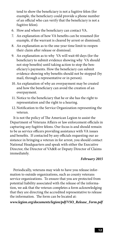tend to show the beneficiary is not a fugitive felon (for example, the beneficiary could provide a phone number of an official who can verify that the beneficiary is not a fugitive felon).

- 6. How and where the beneficiary can contact VA.
- 7. An explanation of how VA benefits can be resumed (for example, if the warrant is cleared by arrest or dismissal).
- 8. An explanation as to the one-year time limit to reopen their claim after release or dismissal.
- 9. An explanation as to why VA will wait 60 days (for the beneficiary to submit evidence showing why VA should not stop benefits) until taking action to stop the beneficiary's payments. How the beneficiary can submit evidence showing why benefits should not be stopped (by mail, through a representative or in person).
- 10. An explanation of why an overpayment may be created and how the beneficiary can avoid the creation of an overpayment.
- 11. Notice to the beneficiary that he or she has the right to representation and the right to a hearing.
- 12. Notification to the Service Organization representing the veteran.

It is not the policy of The American Legion to assist the Department of Veterans Affairs or law enforcement officials in capturing any fugitive felons. Our focus is and should remain to be as service officers providing assistance with VA issues and benefits. If contacted by any officials requesting our assistance in bringing a veteran in for arrest, you should contact National Headquarters and speak with either the Executive Director, the Director of VA&R or Deputy Director of Claims immediately.

#### *February 2015*

Periodically, veterans may wish to have you release information to outside organizations, such as county veterans service organizations. To ensure that you are protected from potential liability associated with the release of the information, we ask that the veteran completes a form acknowledging that they are directing the accredited representative to release the information. The form can be located at:

*www.legion.org/documents/legion/pdf/VSO\_Release\_Form.pdf*